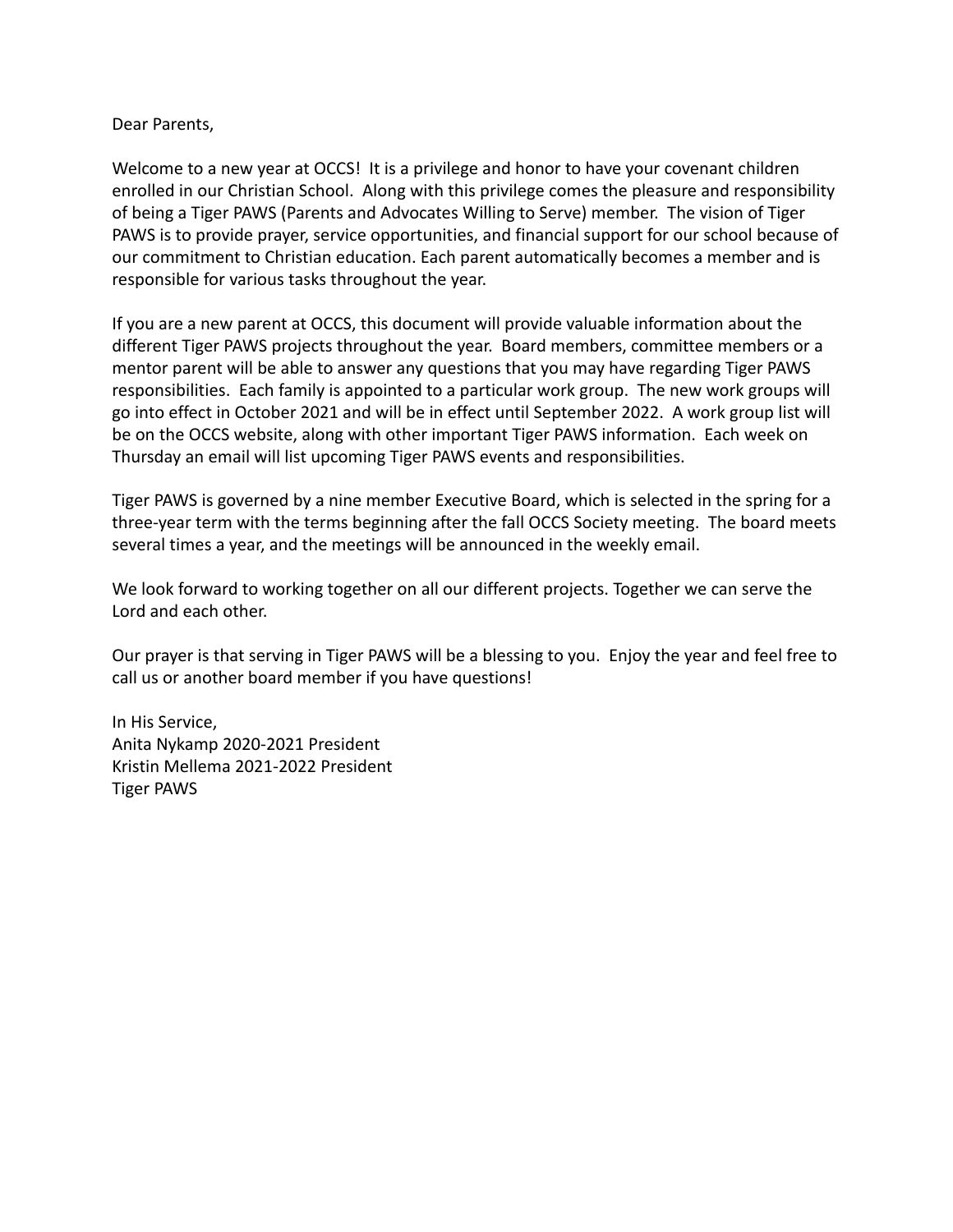Dear Parents,

Welcome to a new year at OCCS! It is a privilege and honor to have your covenant children enrolled in our Christian School. Along with this privilege comes the pleasure and responsibility of being a Tiger PAWS (Parents and Advocates Willing to Serve) member. The vision of Tiger PAWS is to provide prayer, service opportunities, and financial support for our school because of our commitment to Christian education. Each parent automatically becomes a member and is responsible for various tasks throughout the year.

If you are a new parent at OCCS, this document will provide valuable information about the different Tiger PAWS projects throughout the year. Board members, committee members or a mentor parent will be able to answer any questions that you may have regarding Tiger PAWS responsibilities. Each family is appointed to a particular work group. The new work groups will go into effect in October 2021 and will be in effect until September 2022. A work group list will be on the OCCS website, along with other important Tiger PAWS information. Each week on Thursday an email will list upcoming Tiger PAWS events and responsibilities.

Tiger PAWS is governed by a nine member Executive Board, which is selected in the spring for a three-year term with the terms beginning after the fall OCCS Society meeting. The board meets several times a year, and the meetings will be announced in the weekly email.

We look forward to working together on all our different projects. Together we can serve the Lord and each other.

Our prayer is that serving in Tiger PAWS will be a blessing to you. Enjoy the year and feel free to call us or another board member if you have questions!

In His Service, Anita Nykamp 2020-2021 President Kristin Mellema 2021-2022 President Tiger PAWS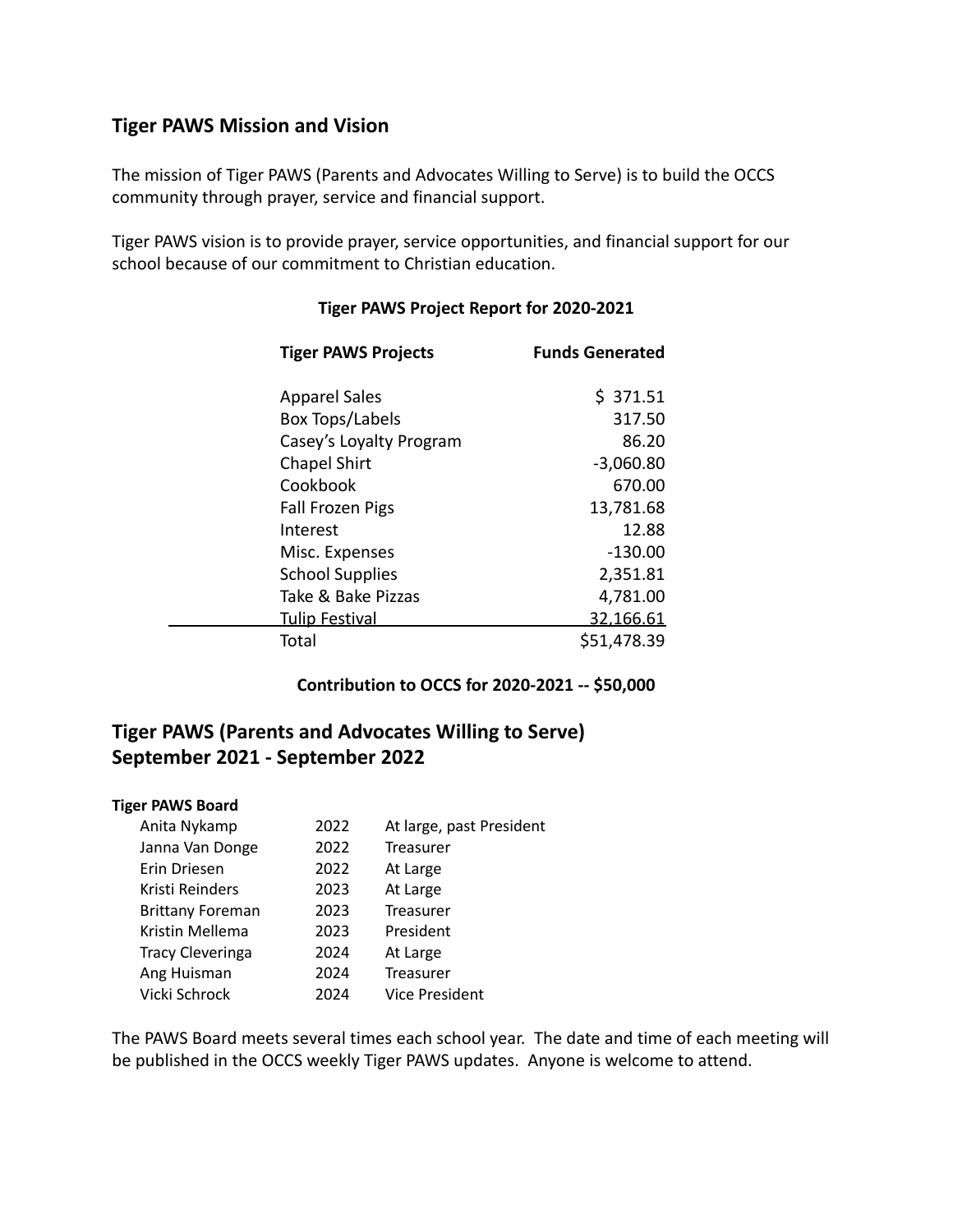## **Tiger PAWS Mission and Vision**

The mission of Tiger PAWS (Parents and Advocates Willing to Serve) is to build the OCCS community through prayer, service and financial support.

Tiger PAWS vision is to provide prayer, service opportunities, and financial support for our school because of our commitment to Christian education.

| <b>Tiger PAWS Projects</b> | <b>Funds Generated</b> |
|----------------------------|------------------------|
| <b>Apparel Sales</b>       | \$371.51               |
| Box Tops/Labels            | 317.50                 |
| Casey's Loyalty Program    | 86.20                  |
| <b>Chapel Shirt</b>        | $-3,060.80$            |
| Cookbook                   | 670.00                 |
| <b>Fall Frozen Pigs</b>    | 13,781.68              |
| Interest                   | 12.88                  |
| Misc. Expenses             | $-130.00$              |
| <b>School Supplies</b>     | 2,351.81               |
| Take & Bake Pizzas         | 4,781.00               |
| <b>Tulip Festival</b>      | 32,166.61              |
| Total                      | \$51,478.39            |

#### **Tiger PAWS Project Report for 2020-2021**

#### **Contribution to OCCS for 2020-2021 -- \$50,000**

# **Tiger PAWS (Parents and Advocates Willing to Serve) September 2021 - September 2022**

#### **Tiger PAWS Board**

| Anita Nykamp            | 2022 | At large, past President |
|-------------------------|------|--------------------------|
| Janna Van Donge         | 2022 | <b>Treasurer</b>         |
| Erin Driesen            | 2022 | At Large                 |
| Kristi Reinders         | 2023 | At Large                 |
| <b>Brittany Foreman</b> | 2023 | Treasurer                |
| Kristin Mellema         | 2023 | President                |
| <b>Tracy Cleveringa</b> | 2024 | At Large                 |
| Ang Huisman             | 2024 | Treasurer                |
| Vicki Schrock           | 2024 | Vice President           |
|                         |      |                          |

The PAWS Board meets several times each school year. The date and time of each meeting will be published in the OCCS weekly Tiger PAWS updates. Anyone is welcome to attend.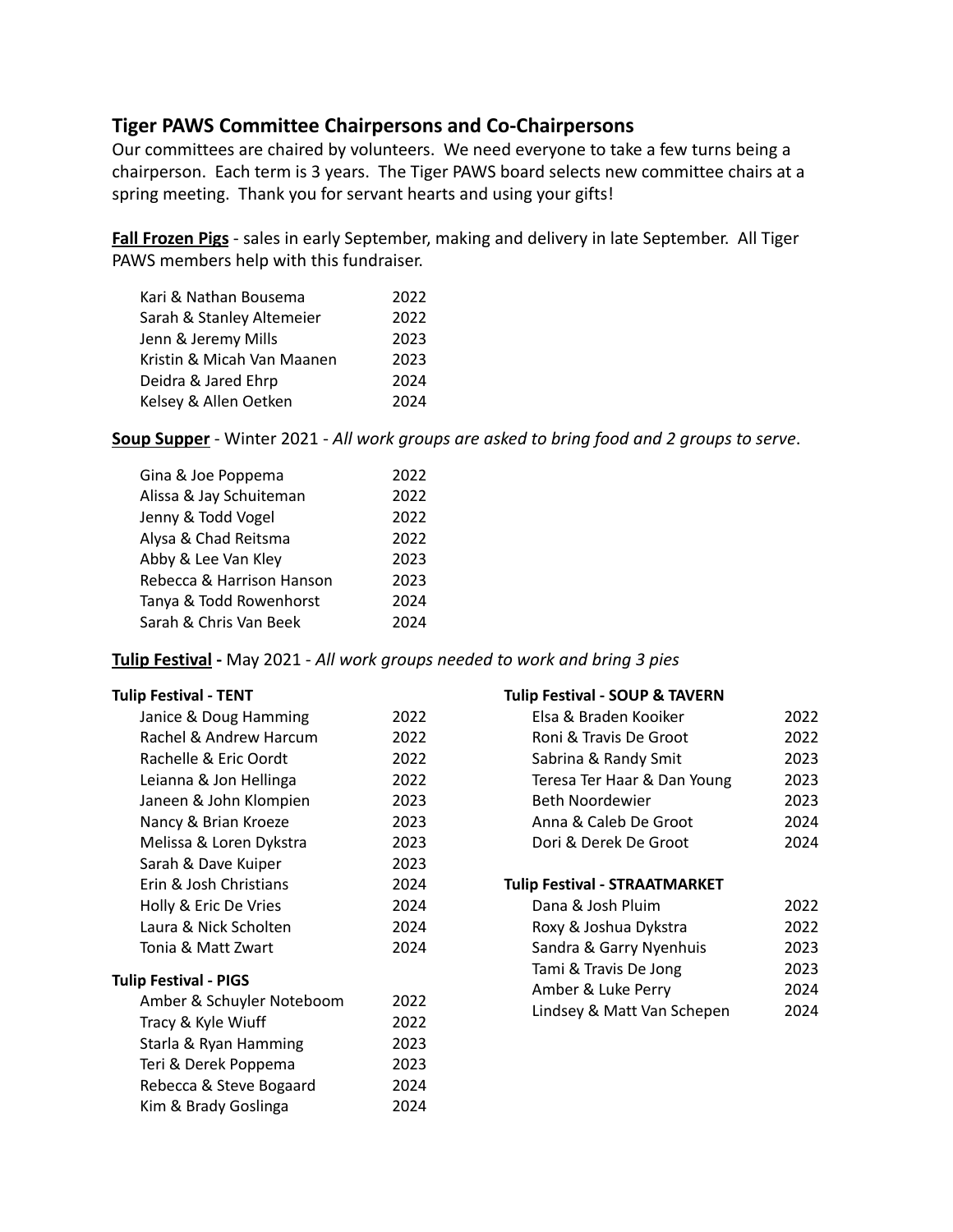## **Tiger PAWS Committee Chairpersons and Co-Chairpersons**

Our committees are chaired by volunteers. We need everyone to take a few turns being a chairperson. Each term is 3 years. The Tiger PAWS board selects new committee chairs at a spring meeting. Thank you for servant hearts and using your gifts!

**Fall Frozen Pigs** - sales in early September, making and delivery in late September. All Tiger PAWS members help with this fundraiser.

| 2022 |
|------|
| 2022 |
| 2023 |
| 2023 |
| 2024 |
| 2024 |
|      |

**Soup Supper** - Winter 2021 - *All work groups are asked to bring food and 2 groups to serve*.

| Gina & Joe Poppema        | 2022 |
|---------------------------|------|
| Alissa & Jay Schuiteman   | 2022 |
| Jenny & Todd Vogel        | 2022 |
| Alysa & Chad Reitsma      | 2022 |
| Abby & Lee Van Kley       | 2023 |
| Rebecca & Harrison Hanson | 2023 |
| Tanya & Todd Rowenhorst   | 2024 |
| Sarah & Chris Van Beek    | 2024 |

**Tulip Festival -** May 2021 - *All work groups needed to work and bring 3 pies*

#### **Tulip Festival - TENT**

| Janice & Doug Hamming     | 2022 |
|---------------------------|------|
| Rachel & Andrew Harcum    | 2022 |
| Rachelle & Eric Oordt     | 2022 |
| Leianna & Jon Hellinga    | 2022 |
| Janeen & John Klompien    | 2023 |
| Nancy & Brian Kroeze      | 2023 |
| Melissa & Loren Dykstra   | 2023 |
| Sarah & Dave Kuiper       | 2023 |
| Erin & Josh Christians    | 2024 |
| Holly & Eric De Vries     | 2024 |
| Laura & Nick Scholten     | 2024 |
| Tonia & Matt Zwart        | 2024 |
| Tulip Festival - PIGS     |      |
| Amber & Schuyler Noteboom | 2022 |
| Tracy & Kyle Wiuff        | 2022 |
| Starla & Ryan Hamming     | 2023 |
| Teri & Derek Poppema      | 2023 |
| Rebecca & Steve Bogaard   | 2024 |
| Kim & Brady Goslinga      | 2024 |
|                           |      |

#### **Tulip Festival - SOUP & TAVERN**

| Elsa & Braden Kooiker         | 2022 |
|-------------------------------|------|
| Roni & Travis De Groot        | 2022 |
| Sabrina & Randy Smit          | 2023 |
| Teresa Ter Haar & Dan Young   | 2023 |
| Beth Noordewier               | 2023 |
| Anna & Caleb De Groot         | 2024 |
| Dori & Derek De Groot         | 2024 |
|                               |      |
| Tulip Festival - STRAATMARKET |      |
| Dana & Josh Pluim             | 2022 |
| Roxy & Joshua Dykstra         | 2022 |
| Sandra & Garry Nyenhuis       | 2023 |
| Tami & Travis De Jong         | 2023 |
| Amber & Luke Perry            | 2024 |
| Lindsey & Matt Van Schepen    | 2024 |
|                               |      |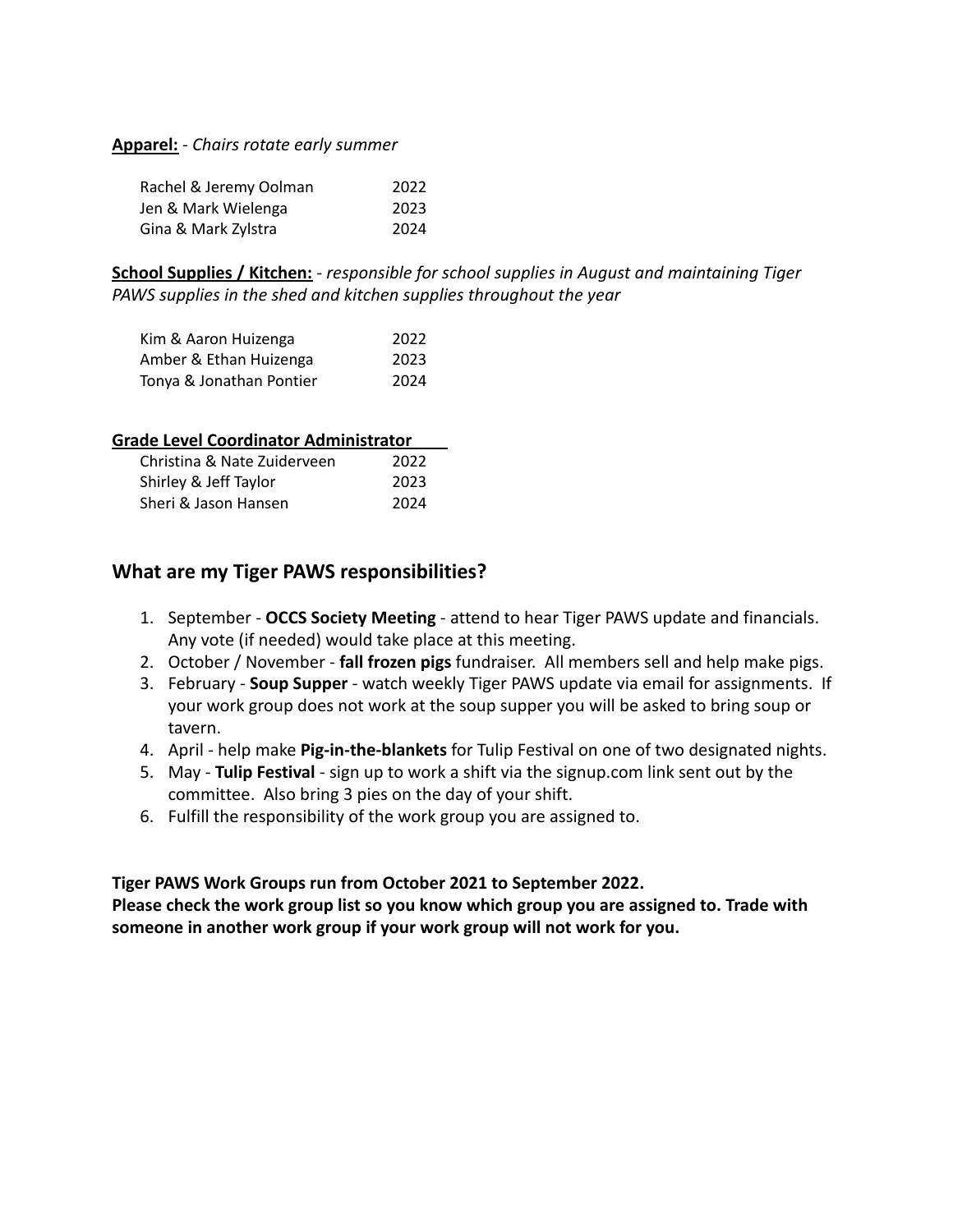#### **Apparel:** - *Chairs rotate early summer*

| Rachel & Jeremy Oolman | 2022 |
|------------------------|------|
| Jen & Mark Wielenga    | 2023 |
| Gina & Mark Zylstra    | 2024 |

**School Supplies / Kitchen:** - *responsible for school supplies in August and maintaining Tiger PAWS supplies in the shed and kitchen supplies throughout the year*

| Kim & Aaron Huizenga     | 2022 |
|--------------------------|------|
| Amber & Ethan Huizenga   | 2023 |
| Tonya & Jonathan Pontier | 2024 |

| Grade Level Coordinator Administrator |      |
|---------------------------------------|------|
| Christina & Nate Zuiderveen           | 2022 |
| Shirley & Jeff Taylor                 | 2023 |
| Sheri & Jason Hansen                  | 2024 |

## **What are my Tiger PAWS responsibilities?**

- 1. September **OCCS Society Meeting** attend to hear Tiger PAWS update and financials. Any vote (if needed) would take place at this meeting.
- 2. October / November **fall frozen pigs** fundraiser. All members sell and help make pigs.
- 3. February **Soup Supper** watch weekly Tiger PAWS update via email for assignments. If your work group does not work at the soup supper you will be asked to bring soup or tavern.
- 4. April help make **Pig-in-the-blankets** for Tulip Festival on one of two designated nights.
- 5. May **Tulip Festival** sign up to work a shift via the signup.com link sent out by the committee. Also bring 3 pies on the day of your shift.
- 6. Fulfill the responsibility of the work group you are assigned to.

### **Tiger PAWS Work Groups run from October 2021 to September 2022.**

**Please check the work group list so you know which group you are assigned to. Trade with someone in another work group if your work group will not work for you.**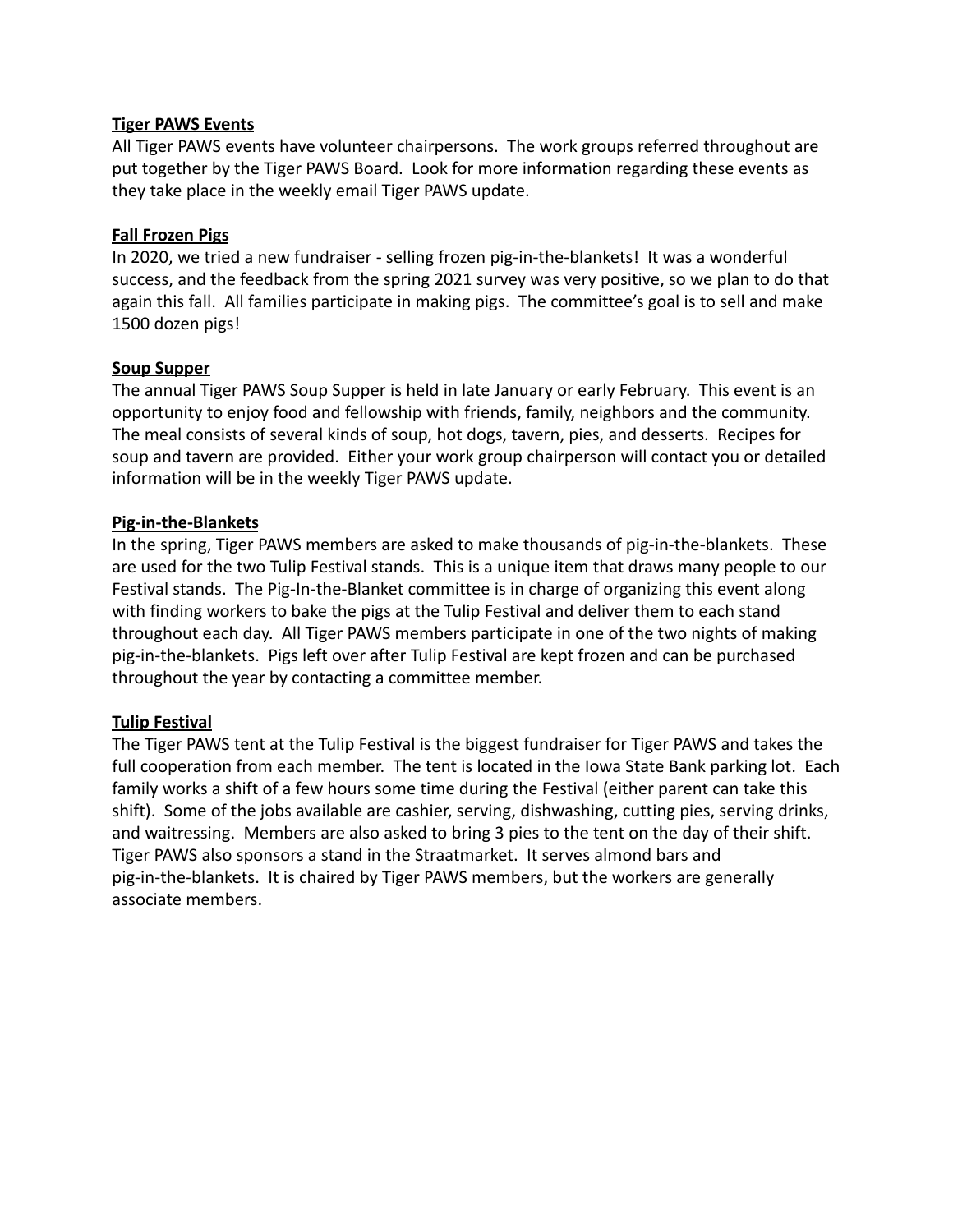### **Tiger PAWS Events**

All Tiger PAWS events have volunteer chairpersons. The work groups referred throughout are put together by the Tiger PAWS Board. Look for more information regarding these events as they take place in the weekly email Tiger PAWS update.

#### **Fall Frozen Pigs**

In 2020, we tried a new fundraiser - selling frozen pig-in-the-blankets! It was a wonderful success, and the feedback from the spring 2021 survey was very positive, so we plan to do that again this fall. All families participate in making pigs. The committee's goal is to sell and make 1500 dozen pigs!

#### **Soup Supper**

The annual Tiger PAWS Soup Supper is held in late January or early February. This event is an opportunity to enjoy food and fellowship with friends, family, neighbors and the community. The meal consists of several kinds of soup, hot dogs, tavern, pies, and desserts. Recipes for soup and tavern are provided. Either your work group chairperson will contact you or detailed information will be in the weekly Tiger PAWS update.

#### **Pig-in-the-Blankets**

In the spring, Tiger PAWS members are asked to make thousands of pig-in-the-blankets. These are used for the two Tulip Festival stands. This is a unique item that draws many people to our Festival stands. The Pig-In-the-Blanket committee is in charge of organizing this event along with finding workers to bake the pigs at the Tulip Festival and deliver them to each stand throughout each day. All Tiger PAWS members participate in one of the two nights of making pig-in-the-blankets. Pigs left over after Tulip Festival are kept frozen and can be purchased throughout the year by contacting a committee member.

### **Tulip Festival**

The Tiger PAWS tent at the Tulip Festival is the biggest fundraiser for Tiger PAWS and takes the full cooperation from each member. The tent is located in the Iowa State Bank parking lot. Each family works a shift of a few hours some time during the Festival (either parent can take this shift). Some of the jobs available are cashier, serving, dishwashing, cutting pies, serving drinks, and waitressing. Members are also asked to bring 3 pies to the tent on the day of their shift. Tiger PAWS also sponsors a stand in the Straatmarket. It serves almond bars and pig-in-the-blankets. It is chaired by Tiger PAWS members, but the workers are generally associate members.